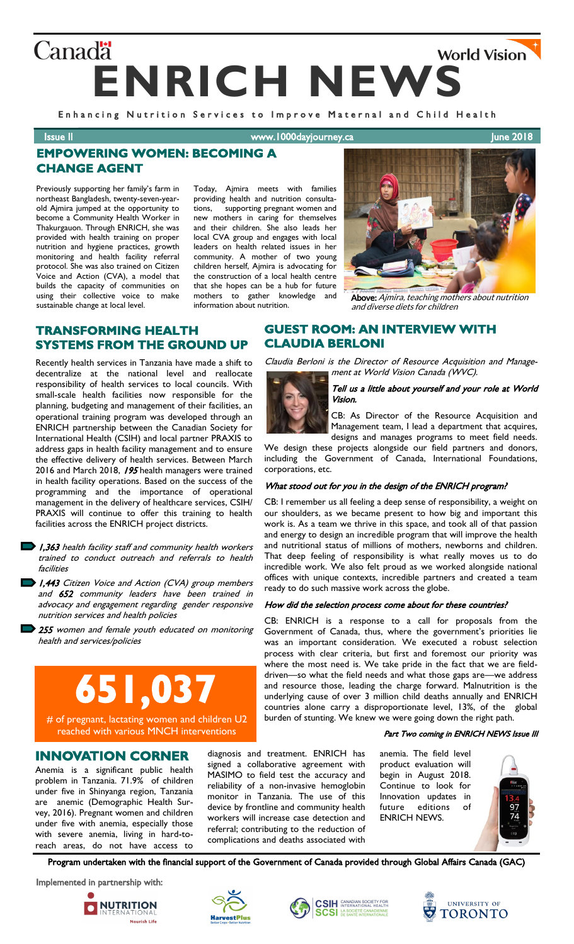# **Canadä World Vision ENRICH NEWS**

Enhancing Nutrition Services to Improve Maternal and Child Health

**Issue II ISSUE II** WWW.1000dayjourney.ca June 2018

ä

# **EMPOWERING WOMEN: BECOMING A CHANGE AGENT**

Previously supporting her family's farm in northeast Bangladesh, twenty-seven-yearold Ajmira jumped at the opportunity to become a Community Health Worker in Thakurgauon. Through ENRICH, she was provided with health training on proper nutrition and hygiene practices, growth monitoring and health facility referral protocol. She was also trained on Citizen Voice and Action (CVA), a model that builds the capacity of communities on using their collective voice to make sustainable change at local level.

Today, Ajmira meets with families providing health and nutrition consultations, supporting pregnant women and new mothers in caring for themselves and their children. She also leads her local CVA group and engages with local leaders on health related issues in her community. A mother of two young children herself, Ajmira is advocating for the construction of a local health centre that she hopes can be a hub for future mothers to gather knowledge and information about nutrition.



Above: Ajmira, teaching mothers about nutrition and diverse diets for children

## **TRANSFORMING HEALTH SYSTEMS FROM THE GROUND UP**

Recently health services in Tanzania have made a shift to decentralize at the national level and reallocate responsibility of health services to local councils. With small-scale health facilities now responsible for the planning, budgeting and management of their facilities, an operational training program was developed through an ENRICH partnership between the Canadian Society for International Health (CSIH) and local partner PRAXIS to address gaps in health facility management and to ensure the effective delivery of health services. Between March 2016 and March 2018, 195 health managers were trained in health facility operations. Based on the success of the programming and the importance of operational management in the delivery of healthcare services, CSIH/ PRAXIS will continue to offer this training to health facilities across the ENRICH project districts.

1,363 health facility staff and community health workers trained to conduct outreach and referrals to health facilities

1,443 Citizen Voice and Action (CVA) group members and 652 community leaders have been trained in advocacy and engagement regarding gender responsive nutrition services and health policies

255 women and female youth educated on monitoring health and services/policies

# **651,037**

# of pregnant, lactating women and children U2 reached with various MNCH interventions

## **INNOVATION CORNER**

Anemia is a significant public health problem in Tanzania. 71.9% of children under five in Shinyanga region, Tanzania are anemic (Demographic Health Survey, 2016). Pregnant women and children under five with anemia, especially those with severe anemia, living in hard-toreach areas, do not have access to diagnosis and treatment. ENRICH has signed a collaborative agreement with MASIMO to field test the accuracy and reliability of a non-invasive hemoglobin monitor in Tanzania. The use of this device by frontline and community health workers will increase case detection and referral; contributing to the reduction of complications and deaths associated with

Tell us a little about yourself and your role at World Vision.

CB: As Director of the Resource Acquisition and Management team, I lead a department that acquires, designs and manages programs to meet field needs.

We design these projects alongside our field partners and donors, including the Government of Canada, International Foundations, corporations, etc.

Claudia Berloni is the Director of Resource Acquisition and Management at World Vision Canada (WVC).

#### What stood out for you in the design of the ENRICH program?

CB: I remember us all feeling a deep sense of responsibility, a weight on our shoulders, as we became present to how big and important this work is. As a team we thrive in this space, and took all of that passion and energy to design an incredible program that will improve the health and nutritional status of millions of mothers, newborns and children. That deep feeling of responsibility is what really moves us to do incredible work. We also felt proud as we worked alongside national offices with unique contexts, incredible partners and created a team ready to do such massive work across the globe.

#### How did the selection process come about for these countries?

CB: ENRICH is a response to a call for proposals from the Government of Canada, thus, where the government's priorities lie was an important consideration. We executed a robust selection process with clear criteria, but first and foremost our priority was where the most need is. We take pride in the fact that we are fielddriven—so what the field needs and what those gaps are—we address and resource those, leading the charge forward. Malnutrition is the underlying cause of over 3 million child deaths annually and ENRICH countries alone carry a disproportionate level, 13%, of the global burden of stunting. We knew we were going down the right path.

#### Part Two coming in ENRICH NEWS Issue III

anemia. The field level product evaluation will begin in August 2018. Continue to look for Innovation updates in future editions of ENRICH NEWS.



Program undertaken with the financial support of the Government of Canada provided through Global Affairs Canada (GAC)

Implemented in partnership with:









**GUEST ROOM: AN INTERVIEW WITH CLAUDIA BERLONI**